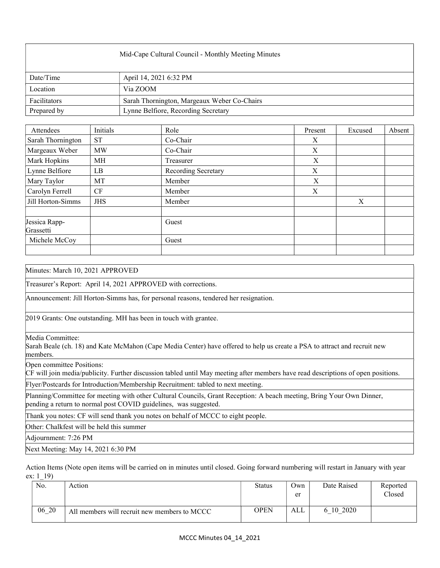| Mid-Cape Cultural Council - Monthly Meeting Minutes |                                             |  |  |  |
|-----------------------------------------------------|---------------------------------------------|--|--|--|
| Date/Time                                           | April 14, 2021 6:32 PM                      |  |  |  |
| Location                                            | Via ZOOM                                    |  |  |  |
| Facilitators                                        | Sarah Thornington, Margeaux Weber Co-Chairs |  |  |  |
| Prepared by                                         | Lynne Belfiore, Recording Secretary         |  |  |  |

| Attendees                  | Initials   | Role                | Present          | Excused | Absent |
|----------------------------|------------|---------------------|------------------|---------|--------|
| Sarah Thornington          | <b>ST</b>  | Co-Chair            | X                |         |        |
| Margeaux Weber             | <b>MW</b>  | Co-Chair            | $\boldsymbol{X}$ |         |        |
| Mark Hopkins               | МH         | Treasurer           | X                |         |        |
| Lynne Belfiore             | LB         | Recording Secretary | X                |         |        |
| Mary Taylor                | MT         | Member              | X                |         |        |
| Carolyn Ferrell            | <b>CF</b>  | Member              | X                |         |        |
| Jill Horton-Simms          | <b>JHS</b> | Member              |                  | X       |        |
|                            |            |                     |                  |         |        |
| Jessica Rapp-<br>Grassetti |            | Guest               |                  |         |        |
| Michele McCoy              |            | Guest               |                  |         |        |
|                            |            |                     |                  |         |        |

Minutes: March 10, 2021 APPROVED

Treasurer's Report: April 14, 2021 APPROVED with corrections.

Announcement: Jill Horton-Simms has, for personal reasons, tendered her resignation.

2019 Grants: One outstanding. MH has been in touch with grantee.

Media Committee:

Sarah Beale (ch. 18) and Kate McMahon (Cape Media Center) have offered to help us create a PSA to attract and recruit new members.

Open committee Positions:

CF will join media/publicity. Further discussion tabled until May meeting after members have read descriptions of open positions.

Flyer/Postcards for Introduction/Membership Recruitment: tabled to next meeting.

Planning/Committee for meeting with other Cultural Councils, Grant Reception: A beach meeting, Bring Your Own Dinner, pending a return to normal post COVID guidelines, was suggested.

Thank you notes: CF will send thank you notes on behalf of MCCC to eight people.

Other: Chalkfest will be held this summer

Adjournment: 7:26 PM

Next Meeting: May 14, 2021 6:30 PM

Action Items (Note open items will be carried on in minutes until closed. Going forward numbering will restart in January with year ex: 1 19)

| No.   | Action                                       | <b>Status</b> | Own<br>er | Date Raised | Reported<br>Closed |
|-------|----------------------------------------------|---------------|-----------|-------------|--------------------|
| 06 20 | All members will recruit new members to MCCC | OPEN          | ALL       | 10 2020     |                    |